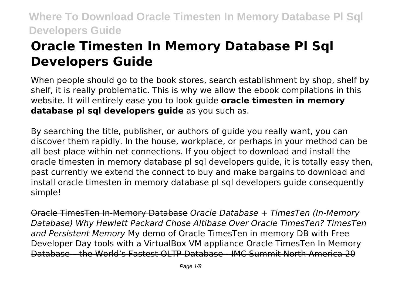# **Oracle Timesten In Memory Database Pl Sql Developers Guide**

When people should go to the book stores, search establishment by shop, shelf by shelf, it is really problematic. This is why we allow the ebook compilations in this website. It will entirely ease you to look guide **oracle timesten in memory database pl sql developers guide** as you such as.

By searching the title, publisher, or authors of guide you really want, you can discover them rapidly. In the house, workplace, or perhaps in your method can be all best place within net connections. If you object to download and install the oracle timesten in memory database pl sql developers guide, it is totally easy then, past currently we extend the connect to buy and make bargains to download and install oracle timesten in memory database pl sql developers guide consequently simple!

Oracle TimesTen In-Memory Database *Oracle Database + TimesTen (In-Memory Database) Why Hewlett Packard Chose Altibase Over Oracle TimesTen? TimesTen and Persistent Memory* My demo of Oracle TimesTen in memory DB with Free Developer Day tools with a VirtualBox VM appliance Oracle TimesTen In Memory Database – the World's Fastest OLTP Database - IMC Summit North America 20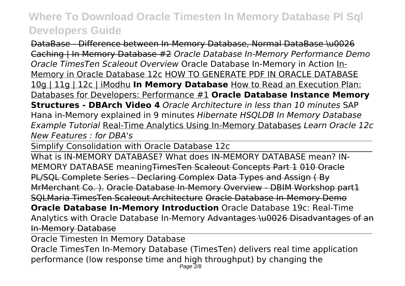DataBase - Difference between In-Memory Database, Normal DataBase \u0026 Caching | In Memory Database #2 *Oracle Database In-Memory Performance Demo Oracle TimesTen Scaleout Overview* Oracle Database In-Memory in Action In-Memory in Oracle Database 12c HOW TO GENERATE PDF IN ORACLE DATABASE 10g | 11g | 12c | iModhu **In Memory Database** How to Read an Execution Plan: Databases for Developers: Performance #1 **Oracle Database Instance Memory Structures - DBArch Video 4** *Oracle Architecture in less than 10 minutes* SAP Hana in-Memory explained in 9 minutes *Hibernate HSQLDB In Memory Database Example Tutorial* Real-Time Analytics Using In-Memory Databases *Learn Oracle 12c New Features : for DBA's*

Simplify Consolidation with Oracle Database 12c

What is IN-MEMORY DATABASE? What does IN-MEMORY DATABASE mean? IN-MEMORY DATABASE meaningTimesTen Scaleout Concepts Part 1 010 Oracle PL/SQL Complete Series - Declaring Complex Data Types and Assign ( By MrMerchant Co. ). Oracle Database In-Memory Overview - DBIM Workshop part1 SQLMaria TimesTen Scaleout Architecture Oracle Database In-Memory Demo **Oracle Database In-Memory Introduction** Oracle Database 19c: Real-Time Analytics with Oracle Database In-Memory Advantages \u0026 Disadvantages of an In-Memory Database

Oracle Timesten In Memory Database

Oracle TimesTen In-Memory Database (TimesTen) delivers real time application performance (low response time and high throughput) by changing the Page 2/8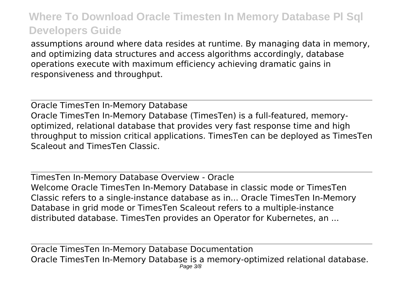assumptions around where data resides at runtime. By managing data in memory, and optimizing data structures and access algorithms accordingly, database operations execute with maximum efficiency achieving dramatic gains in responsiveness and throughput.

Oracle TimesTen In-Memory Database Oracle TimesTen In-Memory Database (TimesTen) is a full-featured, memoryoptimized, relational database that provides very fast response time and high throughput to mission critical applications. TimesTen can be deployed as TimesTen Scaleout and TimesTen Classic.

TimesTen In-Memory Database Overview - Oracle Welcome Oracle TimesTen In-Memory Database in classic mode or TimesTen Classic refers to a single-instance database as in... Oracle TimesTen In-Memory Database in grid mode or TimesTen Scaleout refers to a multiple-instance distributed database. TimesTen provides an Operator for Kubernetes, an ...

Oracle TimesTen In-Memory Database Documentation Oracle TimesTen In-Memory Database is a memory-optimized relational database. Page 3/8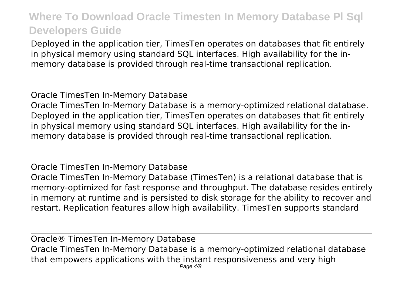Deployed in the application tier, TimesTen operates on databases that fit entirely in physical memory using standard SQL interfaces. High availability for the inmemory database is provided through real-time transactional replication.

Oracle TimesTen In-Memory Database Oracle TimesTen In-Memory Database is a memory-optimized relational database. Deployed in the application tier, TimesTen operates on databases that fit entirely in physical memory using standard SQL interfaces. High availability for the inmemory database is provided through real-time transactional replication.

Oracle TimesTen In-Memory Database Oracle TimesTen In-Memory Database (TimesTen) is a relational database that is memory-optimized for fast response and throughput. The database resides entirely in memory at runtime and is persisted to disk storage for the ability to recover and restart. Replication features allow high availability. TimesTen supports standard

Oracle® TimesTen In-Memory Database Oracle TimesTen In-Memory Database is a memory-optimized relational database that empowers applications with the instant responsiveness and very high Page  $4/8$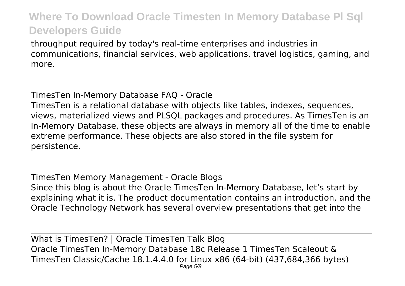throughput required by today's real-time enterprises and industries in communications, financial services, web applications, travel logistics, gaming, and more.

TimesTen In-Memory Database FAQ - Oracle

TimesTen is a relational database with objects like tables, indexes, sequences, views, materialized views and PLSQL packages and procedures. As TimesTen is an In-Memory Database, these objects are always in memory all of the time to enable extreme performance. These objects are also stored in the file system for persistence.

TimesTen Memory Management - Oracle Blogs Since this blog is about the Oracle TimesTen In-Memory Database, let's start by explaining what it is. The product documentation contains an introduction, and the Oracle Technology Network has several overview presentations that get into the

What is TimesTen? | Oracle TimesTen Talk Blog Oracle TimesTen In-Memory Database 18c Release 1 TimesTen Scaleout & TimesTen Classic/Cache 18.1.4.4.0 for Linux x86 (64-bit) (437,684,366 bytes) Page 5/8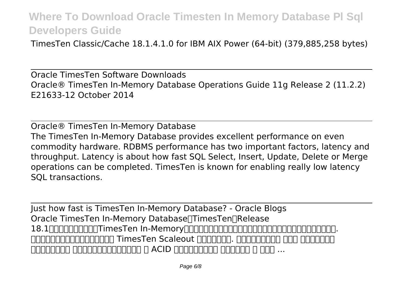TimesTen Classic/Cache 18.1.4.1.0 for IBM AIX Power (64-bit) (379,885,258 bytes)

Oracle TimesTen Software Downloads Oracle® TimesTen In-Memory Database Operations Guide 11g Release 2 (11.2.2) E21633-12 October 2014

Oracle® TimesTen In-Memory Database The TimesTen In-Memory Database provides excellent performance on even commodity hardware. RDBMS performance has two important factors, latency and throughput. Latency is about how fast SQL Select, Insert, Update, Delete or Merge operations can be completed. TimesTen is known for enabling really low latency SQL transactions.

Just how fast is TimesTen In-Memory Database? - Oracle Blogs Oracle TimesTen In-Memory Database∏TimesTen∏Release 18.1は、広く使われているTimesTen In-Memoryリレーショナル・データベースの次世代を象徴するものといえます。. 旧バージョンを土台として設計された TimesTen Scaleout を紹介します。. 透過的なデータ分散 を持つ スケールアウト  $\Box$  - The consequent of  $\Box$  and  $\Box$  and  $\Box$  ...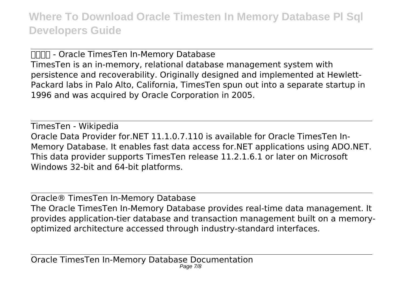**NAMA:** - Oracle TimesTen In-Memory Database TimesTen is an in-memory, relational database management system with persistence and recoverability. Originally designed and implemented at Hewlett-Packard labs in Palo Alto, California, TimesTen spun out into a separate startup in 1996 and was acquired by Oracle Corporation in 2005.

TimesTen - Wikipedia Oracle Data Provider for.NET 11.1.0.7.110 is available for Oracle TimesTen In-Memory Database. It enables fast data access for.NET applications using ADO.NET. This data provider supports TimesTen release 11.2.1.6.1 or later on Microsoft Windows 32-bit and 64-bit platforms.

Oracle® TimesTen In-Memory Database The Oracle TimesTen In-Memory Database provides real-time data management. It provides application-tier database and transaction management built on a memoryoptimized architecture accessed through industry-standard interfaces.